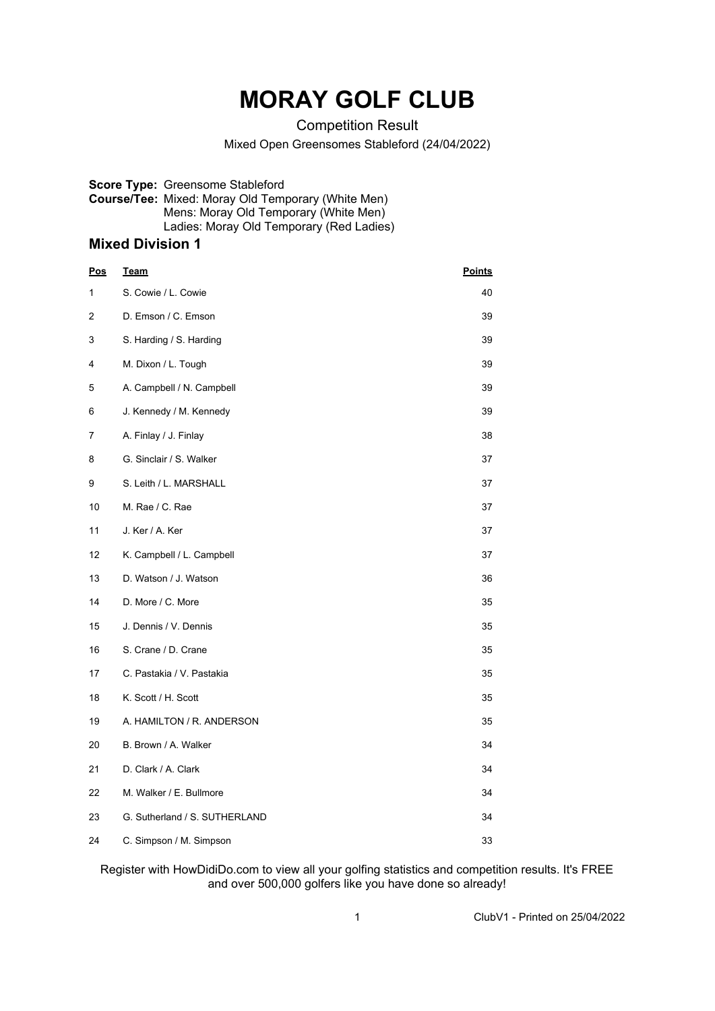# **MORAY GOLF CLUB**

Competition Result

Mixed Open Greensomes Stableford (24/04/2022)

**Score Type:** Greensome Stableford **Course/Tee:** Mixed: Moray Old Temporary (White Men) Mens: Moray Old Temporary (White Men) Ladies: Moray Old Temporary (Red Ladies)

### **Mixed Division 1**

| <u>Pos</u>     | <u>Team</u>                   | <b>Points</b> |
|----------------|-------------------------------|---------------|
| 1              | S. Cowie / L. Cowie           | 40            |
| $\overline{2}$ | D. Emson / C. Emson           | 39            |
| 3              | S. Harding / S. Harding       | 39            |
| 4              | M. Dixon / L. Tough           | 39            |
| 5              | A. Campbell / N. Campbell     | 39            |
| 6              | J. Kennedy / M. Kennedy       | 39            |
| 7              | A. Finlay / J. Finlay         | 38            |
| 8              | G. Sinclair / S. Walker       | 37            |
| 9              | S. Leith / L. MARSHALL        | 37            |
| 10             | M. Rae / C. Rae               | 37            |
| 11             | J. Ker / A. Ker               | 37            |
| 12             | K. Campbell / L. Campbell     | 37            |
| 13             | D. Watson / J. Watson         | 36            |
| 14             | D. More / C. More             | 35            |
| 15             | J. Dennis / V. Dennis         | 35            |
| 16             | S. Crane / D. Crane           | 35            |
| 17             | C. Pastakia / V. Pastakia     | 35            |
| 18             | K. Scott / H. Scott           | 35            |
| 19             | A. HAMILTON / R. ANDERSON     | 35            |
| 20             | B. Brown / A. Walker          | 34            |
| 21             | D. Clark / A. Clark           | 34            |
| 22             | M. Walker / E. Bullmore       | 34            |
| 23             | G. Sutherland / S. SUTHERLAND | 34            |
| 24             | C. Simpson / M. Simpson       | 33            |

Register with HowDidiDo.com to view all your golfing statistics and competition results. It's FREE and over 500,000 golfers like you have done so already!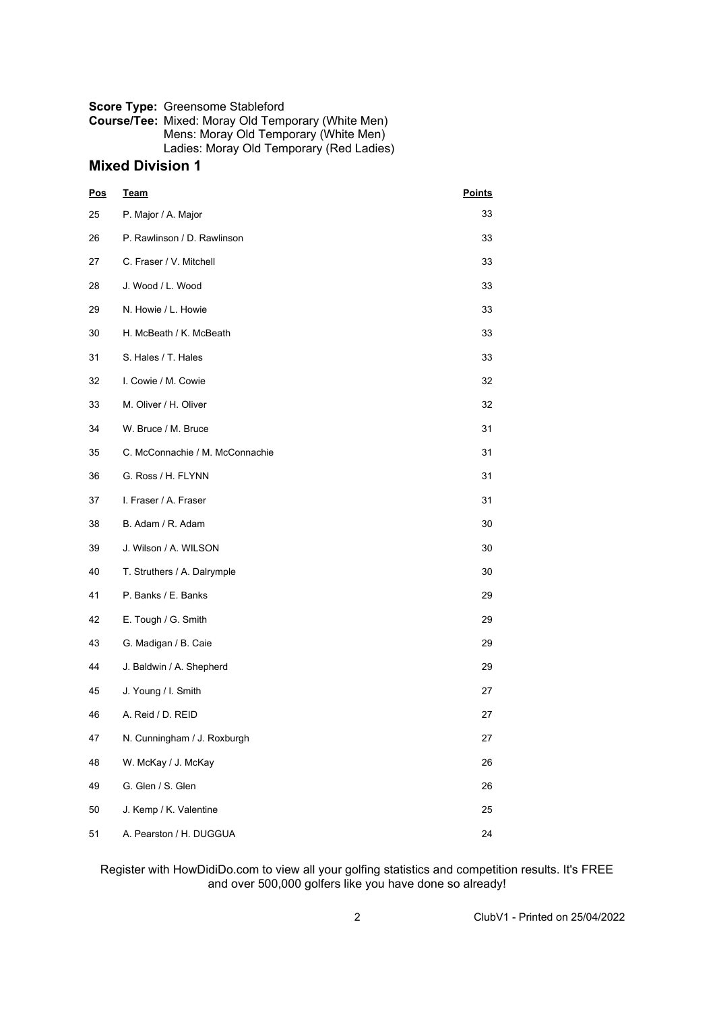#### **Score Type:** Greensome Stableford

**Course/Tee:** Mixed: Moray Old Temporary (White Men) Mens: Moray Old Temporary (White Men) Ladies: Moray Old Temporary (Red Ladies)

#### **Mixed Division 1**

| Pos | <b>Team</b>                     | <b>Points</b> |  |
|-----|---------------------------------|---------------|--|
| 25  | P. Major / A. Major             | 33            |  |
| 26  | P. Rawlinson / D. Rawlinson     | 33            |  |
| 27  | C. Fraser / V. Mitchell         | 33            |  |
| 28  | J. Wood / L. Wood               | 33            |  |
| 29  | N. Howie / L. Howie             | 33            |  |
| 30  | H. McBeath / K. McBeath         | 33            |  |
| 31  | S. Hales / T. Hales             | 33            |  |
| 32  | I. Cowie / M. Cowie             | 32            |  |
| 33  | M. Oliver / H. Oliver           | 32            |  |
| 34  | W. Bruce / M. Bruce             | 31            |  |
| 35  | C. McConnachie / M. McConnachie | 31            |  |
| 36  | G. Ross / H. FLYNN              | 31            |  |
| 37  | I. Fraser / A. Fraser           | 31            |  |
| 38  | B. Adam / R. Adam               | 30            |  |
| 39  | J. Wilson / A. WILSON           | 30            |  |
| 40  | T. Struthers / A. Dalrymple     | 30            |  |
| 41  | P. Banks / E. Banks             | 29            |  |
| 42  | E. Tough / G. Smith             | 29            |  |
| 43  | G. Madigan / B. Caie            | 29            |  |
| 44  | J. Baldwin / A. Shepherd        | 29            |  |
| 45  | J. Young / I. Smith             | 27            |  |
| 46  | A. Reid / D. REID               | 27            |  |
| 47  | N. Cunningham / J. Roxburgh     | 27            |  |
| 48  | W. McKay / J. McKay             | 26            |  |
| 49  | G. Glen / S. Glen               | 26            |  |
| 50  | J. Kemp / K. Valentine          | 25            |  |
| 51  | A. Pearston / H. DUGGUA         | 24            |  |

#### Register with HowDidiDo.com to view all your golfing statistics and competition results. It's FREE and over 500,000 golfers like you have done so already!